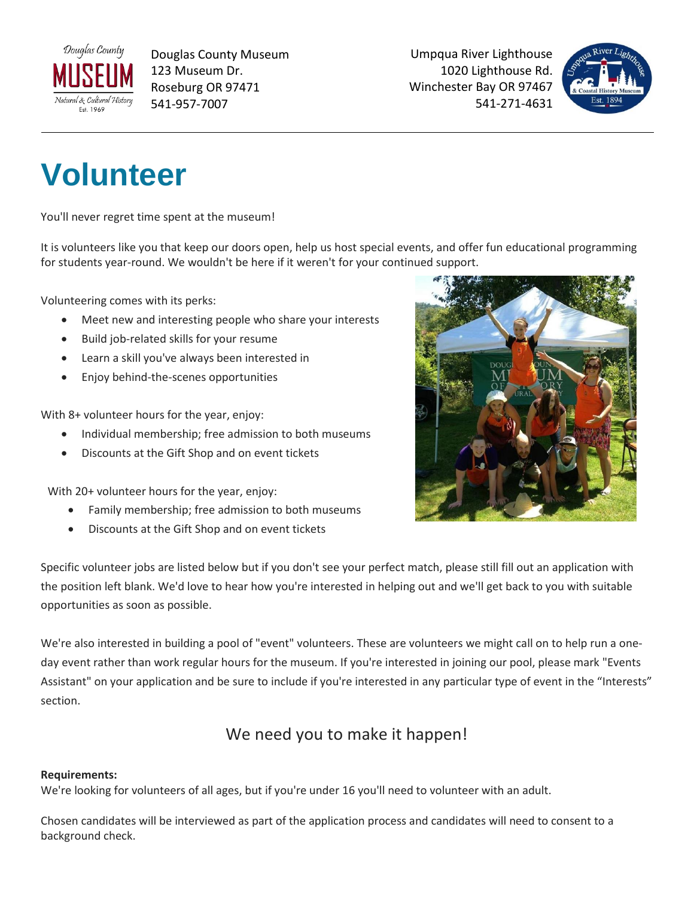

Douglas County Museum 123 Museum Dr. Roseburg OR 97471 541-957-7007

Umpqua River Lighthouse 1020 Lighthouse Rd. Winchester Bay OR 97467 541-271-4631



# **Volunteer**

You'll never regret time spent at the museum!

It is volunteers like you that keep our doors open, help us host special events, and offer fun educational programming for students year-round. We wouldn't be here if it weren't for your continued support.

Volunteering comes with its perks:

- Meet new and interesting people who share your interests
- Build job-related skills for your resume
- Learn a skill you've always been interested in
- Enjoy behind-the-scenes opportunities

With 8+ volunteer hours for the year, enjoy:

- Individual membership; free admission to both museums
- Discounts at the Gift Shop and on event tickets

With 20+ volunteer hours for the year, enjoy:

- Family membership; free admission to both museums
- Discounts at the Gift Shop and on event tickets



Specific volunteer jobs are listed below but if you don't see your perfect match, please still fill out an application with the position left blank. We'd love to hear how you're interested in helping out and we'll get back to you with suitable opportunities as soon as possible.

We're also interested in building a pool of "event" volunteers. These are volunteers we might call on to help run a oneday event rather than work regular hours for the museum. If you're interested in joining our pool, please mark "Events Assistant" on your application and be sure to include if you're interested in any particular type of event in the "Interests" section.

#### We need you to make it happen!

#### **Requirements:**

We're looking for volunteers of all ages, but if you're under 16 you'll need to volunteer with an adult.

Chosen candidates will be interviewed as part of the application process and candidates will need to consent to a background check.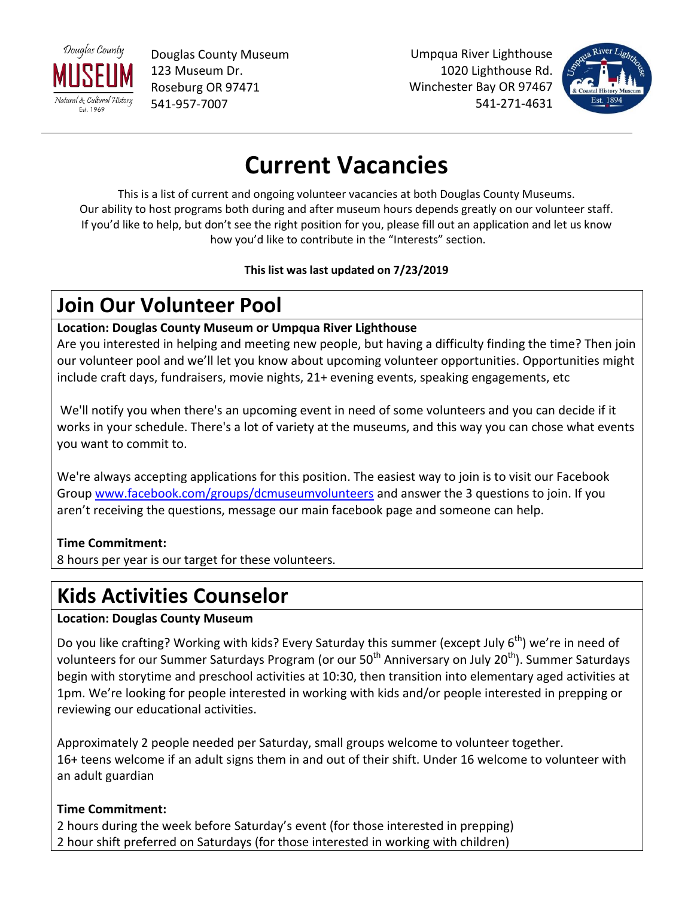

Douglas County Museum 123 Museum Dr. Roseburg OR 97471 541-957-7007

Umpqua River Lighthouse 1020 Lighthouse Rd. Winchester Bay OR 97467 541-271-4631



## **Current Vacancies**

This is a list of current and ongoing volunteer vacancies at both Douglas County Museums. Our ability to host programs both during and after museum hours depends greatly on our volunteer staff. If you'd like to help, but don't see the right position for you, please fill out an application and let us know how you'd like to contribute in the "Interests" section.

#### **This list was last updated on 7/23/2019**

### **Join Our Volunteer Pool**

#### **Location: Douglas County Museum or Umpqua River Lighthouse**

Are you interested in helping and meeting new people, but having a difficulty finding the time? Then join our volunteer pool and we'll let you know about upcoming volunteer opportunities. Opportunities might include craft days, fundraisers, movie nights, 21+ evening events, speaking engagements, etc

We'll notify you when there's an upcoming event in need of some volunteers and you can decide if it works in your schedule. There's a lot of variety at the museums, and this way you can chose what events you want to commit to.

We're always accepting applications for this position. The easiest way to join is to visit our Facebook Group [www.facebook.com/groups/dcmuseumvolunteers](http://www.facebook.com/groups/dcmuseumvolunteers) and answer the 3 questions to join. If you aren't receiving the questions, message our main facebook page and someone can help.

#### **Time Commitment:**

8 hours per year is our target for these volunteers.

### **Kids Activities Counselor**

#### **Location: Douglas County Museum**

Do you like crafting? Working with kids? Every Saturday this summer (except July 6<sup>th</sup>) we're in need of volunteers for our Summer Saturdays Program (or our 50<sup>th</sup> Anniversary on July 20<sup>th</sup>). Summer Saturdays begin with storytime and preschool activities at 10:30, then transition into elementary aged activities at 1pm. We're looking for people interested in working with kids and/or people interested in prepping or reviewing our educational activities.

Approximately 2 people needed per Saturday, small groups welcome to volunteer together. 16+ teens welcome if an adult signs them in and out of their shift. Under 16 welcome to volunteer with an adult guardian

#### **Time Commitment:**

2 hours during the week before Saturday's event (for those interested in prepping) 2 hour shift preferred on Saturdays (for those interested in working with children)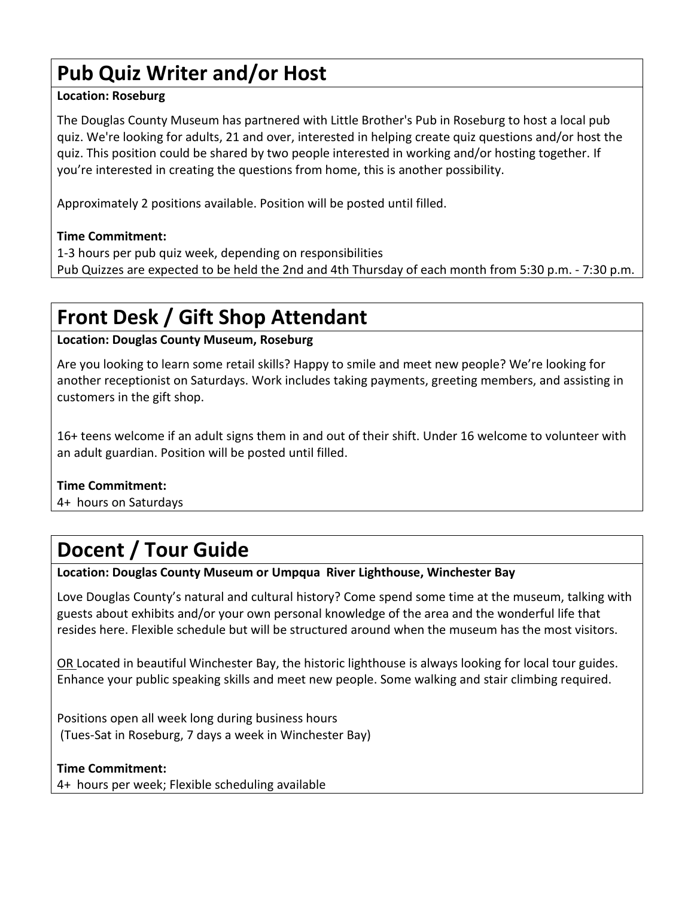### **Pub Quiz Writer and/or Host**

#### **Location: Roseburg**

The Douglas County Museum has partnered with Little Brother's Pub in Roseburg to host a local pub quiz. We're looking for adults, 21 and over, interested in helping create quiz questions and/or host the quiz. This position could be shared by two people interested in working and/or hosting together. If you're interested in creating the questions from home, this is another possibility.

Approximately 2 positions available. Position will be posted until filled.

#### **Time Commitment:**

1-3 hours per pub quiz week, depending on responsibilities Pub Quizzes are expected to be held the 2nd and 4th Thursday of each month from 5:30 p.m. - 7:30 p.m.

### **Front Desk / Gift Shop Attendant**

#### **Location: Douglas County Museum, Roseburg**

Are you looking to learn some retail skills? Happy to smile and meet new people? We're looking for another receptionist on Saturdays. Work includes taking payments, greeting members, and assisting in customers in the gift shop.

16+ teens welcome if an adult signs them in and out of their shift. Under 16 welcome to volunteer with an adult guardian. Position will be posted until filled.

#### **Time Commitment:**

4+ hours on Saturdays

### **Docent / Tour Guide**

**Location: Douglas County Museum or Umpqua River Lighthouse, Winchester Bay**

Love Douglas County's natural and cultural history? Come spend some time at the museum, talking with guests about exhibits and/or your own personal knowledge of the area and the wonderful life that resides here. Flexible schedule but will be structured around when the museum has the most visitors.

OR Located in beautiful Winchester Bay, the historic lighthouse is always looking for local tour guides. Enhance your public speaking skills and meet new people. Some walking and stair climbing required.

Positions open all week long during business hours (Tues-Sat in Roseburg, 7 days a week in Winchester Bay)

#### **Time Commitment:**

4+ hours per week; Flexible scheduling available